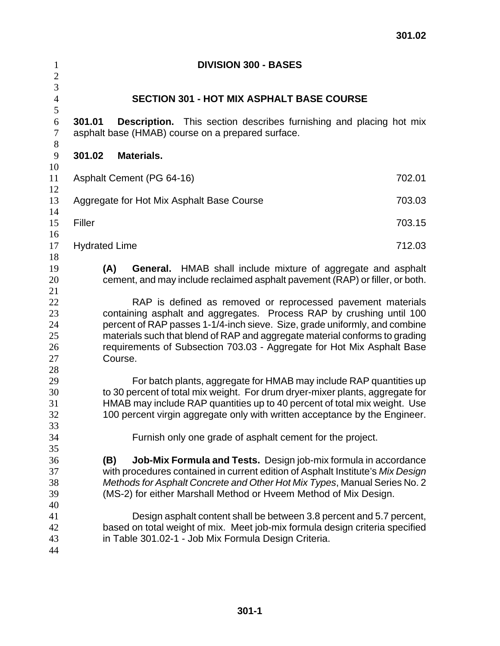| $\mathbf{1}$<br>$\overline{2}$               | <b>DIVISION 300 - BASES</b>                                                                                                                                                                                                                                                                                                                                                           |  |  |  |
|----------------------------------------------|---------------------------------------------------------------------------------------------------------------------------------------------------------------------------------------------------------------------------------------------------------------------------------------------------------------------------------------------------------------------------------------|--|--|--|
| $\overline{3}$<br>$\overline{4}$             | <b>SECTION 301 - HOT MIX ASPHALT BASE COURSE</b>                                                                                                                                                                                                                                                                                                                                      |  |  |  |
| 5<br>6<br>$\tau$<br>$8\,$                    | 301.01<br><b>Description.</b> This section describes furnishing and placing hot mix<br>asphalt base (HMAB) course on a prepared surface.                                                                                                                                                                                                                                              |  |  |  |
| 9                                            | 301.02<br>Materials.                                                                                                                                                                                                                                                                                                                                                                  |  |  |  |
| 10<br>11<br>12                               | 702.01<br>Asphalt Cement (PG 64-16)                                                                                                                                                                                                                                                                                                                                                   |  |  |  |
| 13<br>14                                     | Aggregate for Hot Mix Asphalt Base Course<br>703.03                                                                                                                                                                                                                                                                                                                                   |  |  |  |
| 15                                           | Filler<br>703.15                                                                                                                                                                                                                                                                                                                                                                      |  |  |  |
| 16<br>17                                     | <b>Hydrated Lime</b>                                                                                                                                                                                                                                                                                                                                                                  |  |  |  |
| 18<br>19<br>20                               | <b>General.</b> HMAB shall include mixture of aggregate and asphalt<br>(A)<br>cement, and may include reclaimed asphalt pavement (RAP) or filler, or both.                                                                                                                                                                                                                            |  |  |  |
| 21<br>22<br>23<br>24<br>25<br>26<br>27<br>28 | RAP is defined as removed or reprocessed pavement materials<br>containing asphalt and aggregates. Process RAP by crushing until 100<br>percent of RAP passes 1-1/4-inch sieve. Size, grade uniformly, and combine<br>materials such that blend of RAP and aggregate material conforms to grading<br>requirements of Subsection 703.03 - Aggregate for Hot Mix Asphalt Base<br>Course. |  |  |  |
| 29<br>30<br>31<br>32<br>33<br>34             | For batch plants, aggregate for HMAB may include RAP quantities up<br>to 30 percent of total mix weight. For drum dryer-mixer plants, aggregate for<br>HMAB may include RAP quantities up to 40 percent of total mix weight. Use<br>100 percent virgin aggregate only with written acceptance by the Engineer.<br>Furnish only one grade of asphalt cement for the project.           |  |  |  |
| 35<br>36                                     | Job-Mix Formula and Tests. Design job-mix formula in accordance<br>(B)                                                                                                                                                                                                                                                                                                                |  |  |  |
| 37<br>38<br>39<br>40                         | with procedures contained in current edition of Asphalt Institute's Mix Design<br>Methods for Asphalt Concrete and Other Hot Mix Types, Manual Series No. 2<br>(MS-2) for either Marshall Method or Hveem Method of Mix Design.                                                                                                                                                       |  |  |  |
| 41<br>42<br>43<br>44                         | Design asphalt content shall be between 3.8 percent and 5.7 percent,<br>based on total weight of mix. Meet job-mix formula design criteria specified<br>in Table 301.02-1 - Job Mix Formula Design Criteria.                                                                                                                                                                          |  |  |  |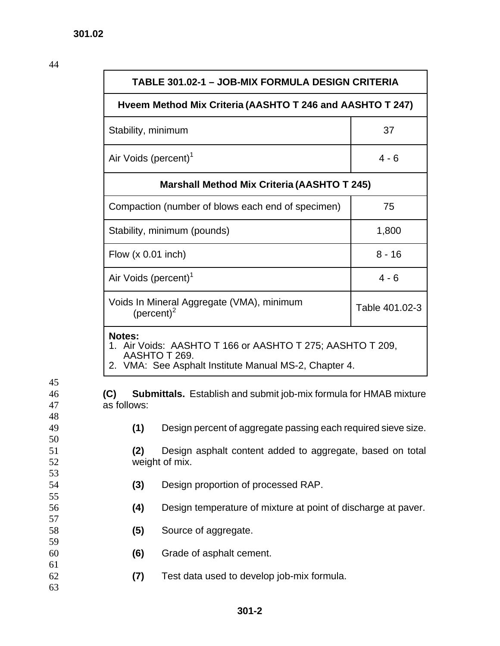44

45

47

48

 $\frac{50}{51}$ 

53

55

57

58<br>59<br>60

61

63

| TABLE 301.02-1 - JOB-MIX FORMULA DESIGN CRITERIA                                                                                              |                                                                          |                |
|-----------------------------------------------------------------------------------------------------------------------------------------------|--------------------------------------------------------------------------|----------------|
|                                                                                                                                               | Hveem Method Mix Criteria (AASHTO T 246 and AASHTO T 247)                |                |
| Stability, minimum                                                                                                                            | 37                                                                       |                |
| Air Voids (percent) <sup>1</sup>                                                                                                              | $4 - 6$                                                                  |                |
|                                                                                                                                               | <b>Marshall Method Mix Criteria (AASHTO T 245)</b>                       |                |
| Compaction (number of blows each end of specimen)                                                                                             | 75                                                                       |                |
| Stability, minimum (pounds)                                                                                                                   | 1,800                                                                    |                |
| Flow $(x 0.01$ inch)                                                                                                                          |                                                                          | $8 - 16$       |
| Air Voids (percent) <sup>1</sup>                                                                                                              |                                                                          | $4 - 6$        |
| Voids In Mineral Aggregate (VMA), minimum<br>(percent) $^2$                                                                                   |                                                                          | Table 401.02-3 |
| Notes:<br>1. Air Voids: AASHTO T 166 or AASHTO T 275; AASHTO T 209,<br>AASHTO T 269.<br>2. VMA: See Asphalt Institute Manual MS-2, Chapter 4. |                                                                          |                |
| (C)<br>as follows:                                                                                                                            | <b>Submittals.</b> Establish and submit job-mix formula for HMAB mixture |                |
| (1)                                                                                                                                           | Design percent of aggregate passing each required sieve size.            |                |
| Design asphalt content added to aggregate, based on total<br>(2)<br>weight of mix.                                                            |                                                                          |                |
| (3)                                                                                                                                           | Design proportion of processed RAP.                                      |                |
| (4)                                                                                                                                           | Design temperature of mixture at point of discharge at paver.            |                |
| (5)                                                                                                                                           | Source of aggregate.                                                     |                |
| (6)                                                                                                                                           | Grade of asphalt cement.                                                 |                |
| (7)                                                                                                                                           | Test data used to develop job-mix formula.                               |                |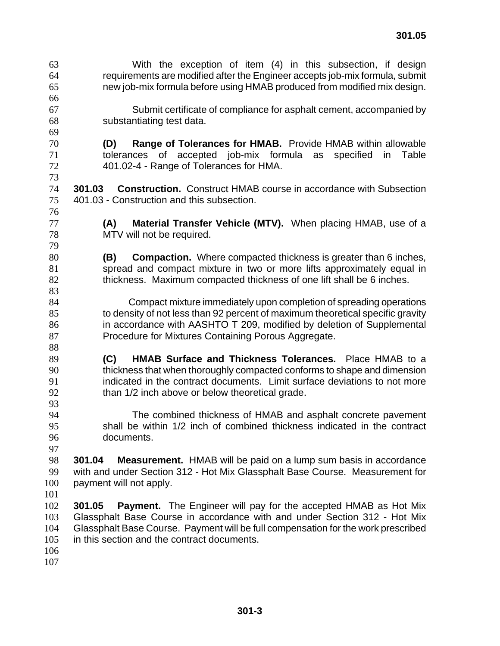With the exception of item (4) in this subsection, if design requirements are modified after the Engineer accepts job-mix formula, submit new job-mix formula before using HMAB produced from modified mix design. Submit certificate of compliance for asphalt cement, accompanied by substantiating test data. **(D) Range of Tolerances for HMAB.** Provide HMAB within allowable tolerances of accepted job-mix formula as specified in Table 401.02-4 - Range of Tolerances for HMA. **301.03 Construction.** Construct HMAB course in accordance with Subsection 401.03 - Construction and this subsection. **(A) Material Transfer Vehicle (MTV).** When placing HMAB, use of a MTV will not be required. **(B) Compaction.** Where compacted thickness is greater than 6 inches, spread and compact mixture in two or more lifts approximately equal in thickness. Maximum compacted thickness of one lift shall be 6 inches. Compact mixture immediately upon completion of spreading operations to density of not less than 92 percent of maximum theoretical specific gravity in accordance with AASHTO T 209, modified by deletion of Supplemental 87 Procedure for Mixtures Containing Porous Aggregate. **(C) HMAB Surface and Thickness Tolerances.** Place HMAB to a thickness that when thoroughly compacted conforms to shape and dimension indicated in the contract documents. Limit surface deviations to not more 92 than 1/2 inch above or below theoretical grade. The combined thickness of HMAB and asphalt concrete pavement shall be within 1/2 inch of combined thickness indicated in the contract documents. **301.04 Measurement.** HMAB will be paid on a lump sum basis in accordance with and under Section 312 - Hot Mix Glassphalt Base Course. Measurement for payment will not apply. **301.05 Payment.** The Engineer will pay for the accepted HMAB as Hot Mix Glassphalt Base Course in accordance with and under Section 312 - Hot Mix Glassphalt Base Course. Payment will be full compensation for the work prescribed in this section and the contract documents.